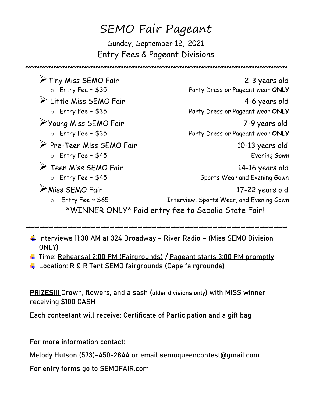## SEMO Fair Pageant Sunday, September 12, 2021 Entry Fees & Pageant Divisions

~~~~~~~~~~~~~~~~~~~~~~~~~~~~~~~~~~~~~~~~~~~~~~~~~~~~~~~~

Tiny Miss SEMO Fair 2-3 years old<br>2-3 years old<br>Party Dress or Pageant wear **ONLY** Party Dress or Pageant wear **ONLY**  Little Miss SEMO Fair 4-6 years old o Entry Fee ~ \$35 Party Dress or Pageant wear **ONLY** Young Miss SEMO Fair 7-9 years old o Entry Fee ~ \$35 Party Dress or Pageant wear **ONLY** Pre-Teen Miss SEMO Fair 10-13 years old o Entry Fee ~ \$45 Evening Gown → Teen Miss SEMO Fair 14-16 years old o Entry Fee ~ \$45 Sports Wear and Evening Gown Miss SEMO Fair 17-22 years old o Entry Fee ~ \$65 Thterview, Sports Wear, and Evening Gown \*WINNER ONLY\* Paid entry fee to Sedalia State Fair!

~~~~~~~~~~~~~~~~~~~~~~~~~~~~~~~~~~~~~~~~~~~~~~~~~~~~~~~~

- ↓ Interviews 11:30 AM at 324 Broadway River Radio (Miss SEMO Division ONLY)
- Time: Rehearsal 2:00 PM (Fairgrounds) / Pageant starts 3:00 PM promptly
- Location: R & R Tent SEMO fairgrounds (Cape fairgrounds)

PRIZES!!! Crown, flowers, and a sash (older divisions only) with MISS winner receiving \$100 CASH

Each contestant will receive: Certificate of Participation and a gift bag

For more information contact:

Melody Hutson (573)-450-2844 or email semoqueencontest@gmail.com

For entry forms go to SEMOFAIR.com